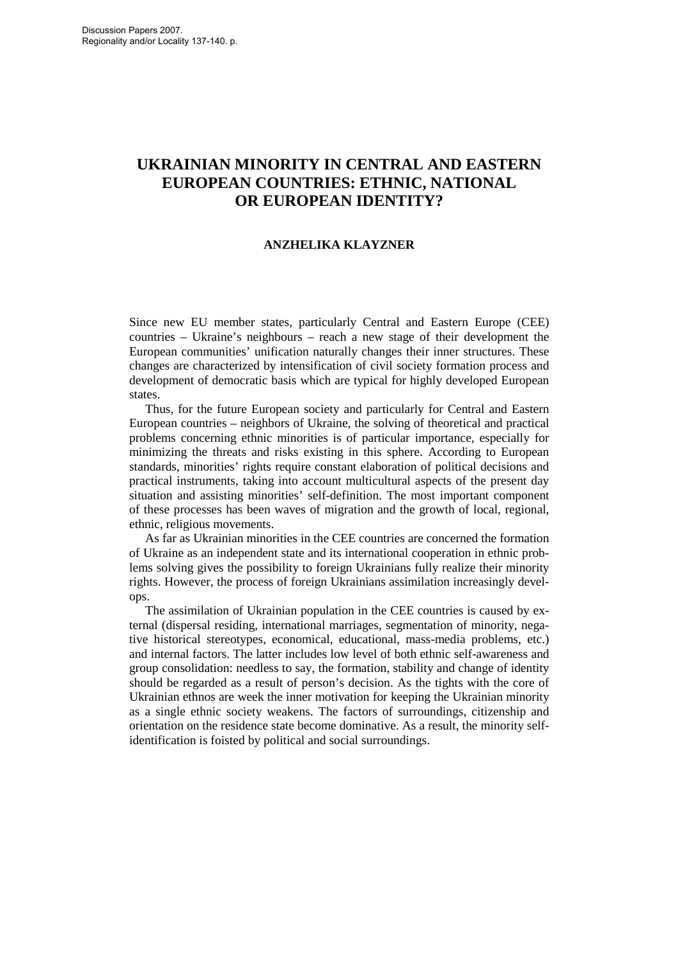# **UKRAINIAN MINORITY IN CENTRAL AND EASTERN EUROPEAN COUNTRIES: ETHNIC, NATIONAL OR EUROPEAN IDENTITY?**

## **ANZHELIKA KLAYZNER**

Since new EU member states, particularly Central and Eastern Europe (CEE) countries – Ukraine's neighbours – reach a new stage of their development the European communities' unification naturally changes their inner structures. These changes are characterized by intensification of civil society formation process and development of democratic basis which are typical for highly developed European states.

Thus, for the future European society and particularly for Central and Eastern European countries – neighbors of Ukraine, the solving of theoretical and practical problems concerning ethnic minorities is of particular importance, especially for minimizing the threats and risks existing in this sphere. According to European standards, minorities' rights require constant elaboration of political decisions and practical instruments, taking into account multicultural aspects of the present day situation and assisting minorities' self-definition. The most important component of these processes has been waves of migration and the growth of local, regional, ethnic, religious movements.

As far as Ukrainian minorities in the CEE countries are concerned the formation of Ukraine as an independent state and its international cooperation in ethnic problems solving gives the possibility to foreign Ukrainians fully realize their minority rights. However, the process of foreign Ukrainians assimilation increasingly develops.

The assimilation of Ukrainian population in the CEE countries is caused by external (dispersal residing, international marriages, segmentation of minority, negative historical stereotypes, economical, educational, mass-media problems, etc.) and internal factors. The latter includes low level of both ethnic self-awareness and group consolidation: needless to say, the formation, stability and change of identity should be regarded as a result of person's decision. As the tights with the core of Ukrainian ethnos are week the inner motivation for keeping the Ukrainian minority as a single ethnic society weakens. The factors of surroundings, citizenship and orientation on the residence state become dominative. As a result, the minority selfidentification is foisted by political and social surroundings.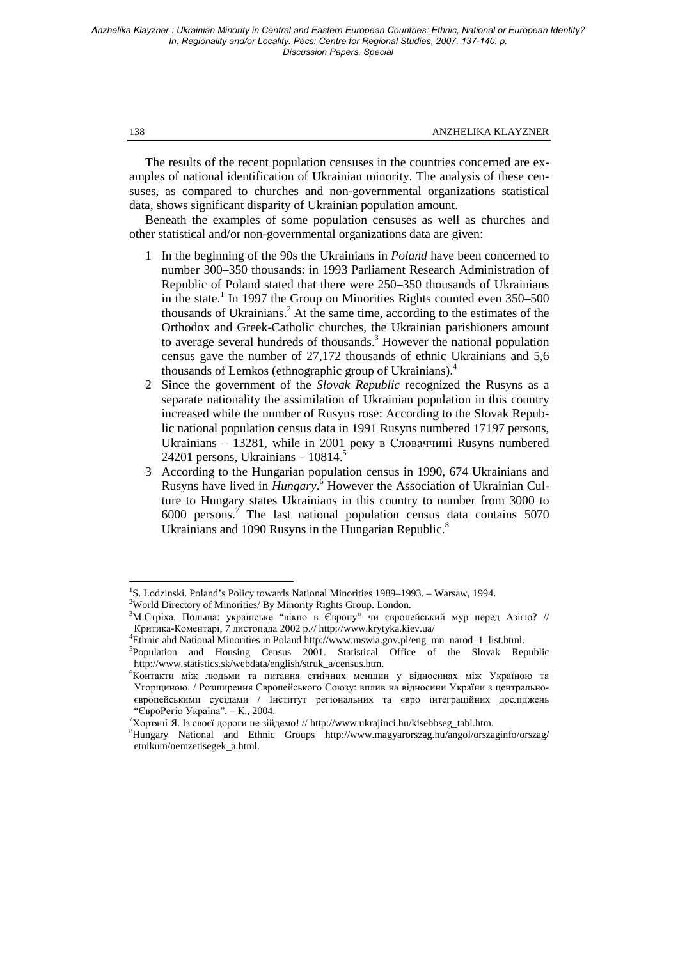### 138 ANZHELIKA KLAYZNER

The results of the recent population censuses in the countries concerned are examples of national identification of Ukrainian minority. The analysis of these censuses, as compared to churches and non-governmental organizations statistical data, shows significant disparity of Ukrainian population amount.

Beneath the examples of some population censuses as well as churches and other statistical and/or non-governmental organizations data are given:

- 1 In the beginning of the 90s the Ukrainians in *Poland* have been concerned to number 300–350 thousands: in 1993 Parliament Research Administration of Republic of Poland stated that there were 250–350 thousands of Ukrainians in the state.<sup>1</sup> In 1997 the Group on Minorities Rights counted even  $350-500$ thousands of Ukrainians.<sup>2</sup> At the same time, according to the estimates of the Orthodox and Greek-Catholic churches, the Ukrainian parishioners amount to average several hundreds of thousands.<sup>3</sup> However the national population census gave the number of 27,172 thousands of ethnic Ukrainians and 5,6 thousands of Lemkos (ethnographic group of Ukrainians).<sup>4</sup>
- 2 Since the government of the *Slovak Republic* recognized the Rusyns as a separate nationality the assimilation of Ukrainian population in this country increased while the number of Rusyns rose: According to the Slovak Republic national population census data in 1991 Rusyns numbered 17197 persons, Ukrainians – 13281, while in 2001 року в Словаччині Rusyns numbered 24201 persons, Ukrainians  $-10814$ .<sup>5</sup>
- 3 According to the Hungarian population census in 1990, 674 Ukrainians and Rusyns have lived in *Hungary*.<sup>6</sup> However the Association of Ukrainian Culture to Hungary states Ukrainians in this country to number from 3000 to  $6000$  persons.<sup>7</sup> The last national population census data contains  $5070$ Ukrainians and 1090 Rusyns in the Hungarian Republic.<sup>8</sup>

l

<sup>&</sup>lt;sup>1</sup>S. Lodzinski. Poland's Policy towards National Minorities 1989-1993. - Warsaw, 1994.

<sup>&</sup>lt;sup>2</sup>World Directory of Minorities/ By Minority Rights Group. London.

 $3$ М.Стріха. Польща: українське "вікно в Європу" чи європейський мур перед Азією? // Критика-Коментарі, 7 листопада 2002 р.// http://www.krytyka.kiev.ua/

<sup>4</sup>Ethnic ahd National Minorities in Poland http://www.mswia.gov.pl/eng\_mn\_narod\_1\_list.html.

<sup>&</sup>lt;sup>5</sup>Population and Housing Census 2001. Statistical Office of the Slovak Republic http://www.statistics.sk/webdata/english/struk\_a/census.htm.

<sup>6</sup>Контакти між людьми та питання етнічних меншин у відносинах між Україною та Угорщиною. / Розширення Європейського Союзу: вплив на відносини України з центральноєвропейськими сусідами / Інститут регіональних та євро інтеграційних досліджень "ЄвроРегіо Україна". – К., 2004.

<sup>&</sup>lt;sup>7</sup>Хортяні Я. Із своєї дороги не зійдемо! // http://www.ukrajinci.hu/kisebbseg\_tabl.htm.

<sup>8</sup>Hungary National and Ethnic Groups http://www.magyarorszag.hu/angol/orszaginfo/orszag/ etnikum/nemzetisegek\_a.html.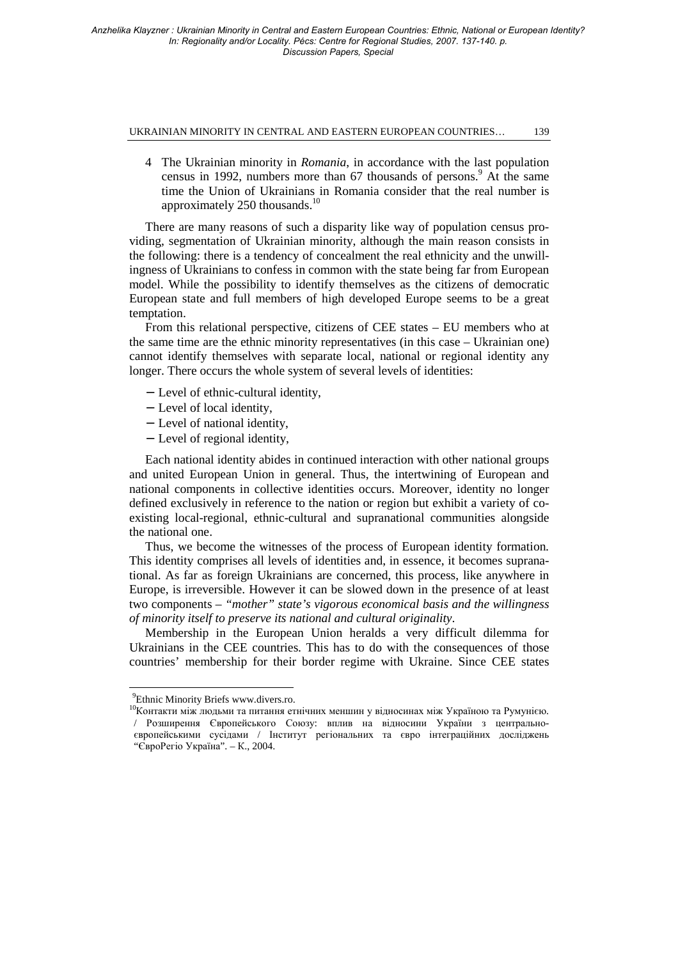#### UKRAINIAN MINORITY IN CENTRAL AND EASTERN EUROPEAN COUNTRIES… 139

4 The Ukrainian minority in *Romania*, in accordance with the last population census in 1992, numbers more than 67 thousands of persons.<sup>9</sup> At the same time the Union of Ukrainians in Romania consider that the real number is approximately 250 thousands.<sup>10</sup>

There are many reasons of such a disparity like way of population census providing, segmentation of Ukrainian minority, although the main reason consists in the following: there is a tendency of concealment the real ethnicity and the unwillingness of Ukrainians to confess in common with the state being far from European model. While the possibility to identify themselves as the citizens of democratic European state and full members of high developed Europe seems to be a great temptation.

From this relational perspective, citizens of CEE states – EU members who at the same time are the ethnic minority representatives (in this case – Ukrainian one) cannot identify themselves with separate local, national or regional identity any longer. There occurs the whole system of several levels of identities:

- − Level of ethnic-cultural identity,
- − Level of local identity,
- − Level of national identity,
- − Level of regional identity,

Each national identity abides in continued interaction with other national groups and united European Union in general. Thus, the intertwining of European and national components in collective identities occurs. Moreover, identity no longer defined exclusively in reference to the nation or region but exhibit a variety of coexisting local-regional, ethnic-cultural and supranational communities alongside the national one.

Thus, we become the witnesses of the process of European identity formation*.* This identity comprises all levels of identities and, in essence, it becomes supranational. As far as foreign Ukrainians are concerned, this process, like anywhere in Europe, is irreversible. However it can be slowed down in the presence of at least two components – *"mother" state's vigorous economical basis and the willingness of minority itself to preserve its national and cultural originality*.

Membership in the European Union heralds a very difficult dilemma for Ukrainians in the CEE countries. This has to do with the consequences of those countries' membership for their border regime with Ukraine. Since CEE states

 $\overline{a}$ 

<sup>9</sup>Ethnic Minority Briefs www.divers.ro.

<sup>10</sup>Контакти між людьми та питання етнічних меншин у відносинах між Україною та Румунією. / Розширення Європейського Союзу: вплив на відносини України з центральноєвропейськими сусідами / Інститут регіональних та євро інтеграційних досліджень "ЄвроРегіо Україна". – К., 2004.